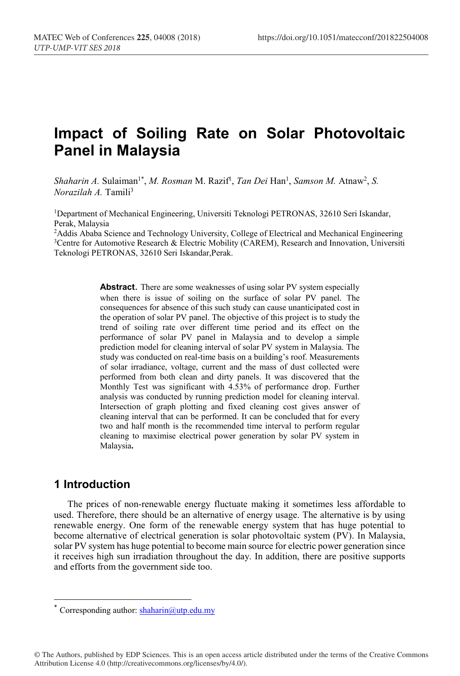# **Impact of Soiling Rate on Solar Photovoltaic Panel in Malaysia**

Shaharin A. Sulaiman<sup>1\*</sup>, M. Rosman M. Razif<sup>1</sup>, *Tan Dei* Han<sup>1</sup>, Samson M. Atnaw<sup>2</sup>, S. *Norazilah A.* Tamili3

1Department of Mechanical Engineering, Universiti Teknologi PETRONAS, 32610 Seri Iskandar, Perak, Malaysia

2Addis Ababa Science and Technology University, College of Electrical and Mechanical Engineering <sup>3</sup>Centre for Automotive Research & Electric Mobility (CAREM), Research and Innovation, Universiti Teknologi PETRONAS, 32610 Seri Iskandar,Perak.

> **Abstract**. There are some weaknesses of using solar PV system especially when there is issue of soiling on the surface of solar PV panel. The consequences for absence of this such study can cause unanticipated cost in the operation of solar PV panel. The objective of this project is to study the trend of soiling rate over different time period and its effect on the performance of solar PV panel in Malaysia and to develop a simple prediction model for cleaning interval of solar PV system in Malaysia. The study was conducted on real-time basis on a building's roof. Measurements of solar irradiance, voltage, current and the mass of dust collected were performed from both clean and dirty panels. It was discovered that the Monthly Test was significant with 4.53% of performance drop. Further analysis was conducted by running prediction model for cleaning interval. Intersection of graph plotting and fixed cleaning cost gives answer of cleaning interval that can be performed. It can be concluded that for every two and half month is the recommended time interval to perform regular cleaning to maximise electrical power generation by solar PV system in Malaysia**.**

## **1 Introduction**

The prices of non-renewable energy fluctuate making it sometimes less affordable to used. Therefore, there should be an alternative of energy usage. The alternative is by using renewable energy. One form of the renewable energy system that has huge potential to become alternative of electrical generation is solar photovoltaic system (PV). In Malaysia, solar PV system has huge potential to become main source for electric power generation since it receives high sun irradiation throughout the day. In addition, there are positive supports and efforts from the government side too.

Corresponding author:  $shaharin@$ utp.edu.my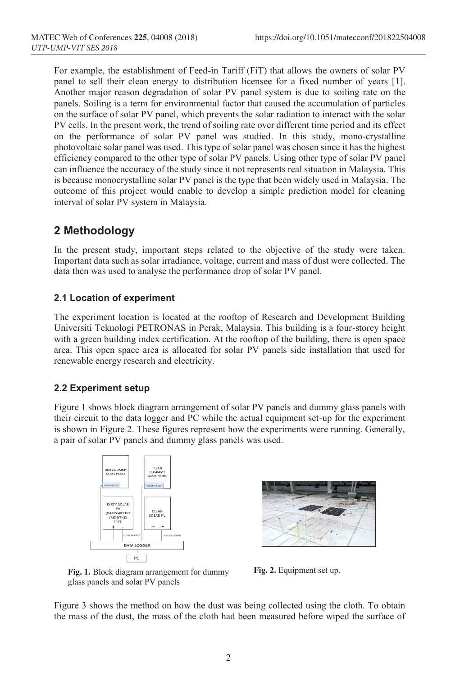For example, the establishment of Feed-in Tariff (FiT) that allows the owners of solar PV panel to sell their clean energy to distribution licensee for a fixed number of years [1]. Another major reason degradation of solar PV panel system is due to soiling rate on the panels. Soiling is a term for environmental factor that caused the accumulation of particles on the surface of solar PV panel, which prevents the solar radiation to interact with the solar PV cells. In the present work, the trend of soiling rate over different time period and its effect on the performance of solar PV panel was studied. In this study, mono-crystalline photovoltaic solar panel was used. This type of solar panel was chosen since it has the highest efficiency compared to the other type of solar PV panels. Using other type of solar PV panel can influence the accuracy of the study since it not represents real situation in Malaysia. This is because monocrystalline solar PV panel is the type that been widely used in Malaysia. The outcome of this project would enable to develop a simple prediction model for cleaning interval of solar PV system in Malaysia.

# **2 Methodology**

In the present study, important steps related to the objective of the study were taken. Important data such as solar irradiance, voltage, current and mass of dust were collected. The data then was used to analyse the performance drop of solar PV panel.

### **2.1 Location of experiment**

The experiment location is located at the rooftop of Research and Development Building Universiti Teknologi PETRONAS in Perak, Malaysia. This building is a four-storey height with a green building index certification. At the rooftop of the building, there is open space area. This open space area is allocated for solar PV panels side installation that used for renewable energy research and electricity.

### **2.2 Experiment setup**

Figure 1 shows block diagram arrangement of solar PV panels and dummy glass panels with their circuit to the data logger and PC while the actual equipment set-up for the experiment is shown in Figure 2. These figures represent how the experiments were running. Generally, a pair of solar PV panels and dummy glass panels was used.





**Fig. 1.** Block diagram arrangement for dummy glass panels and solar PV panels

**Fig. 2.** Equipment set up.

Figure 3 shows the method on how the dust was being collected using the cloth. To obtain the mass of the dust, the mass of the cloth had been measured before wiped the surface of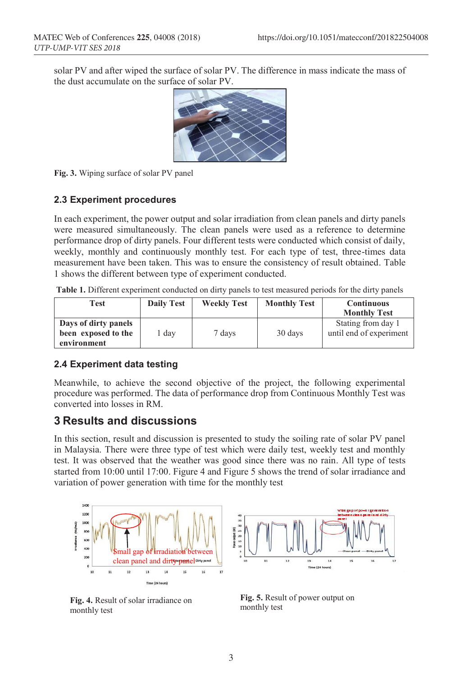solar PV and after wiped the surface of solar PV. The difference in mass indicate the mass of the dust accumulate on the surface of solar PV.



**Fig. 3.** Wiping surface of solar PV panel

### **2.3 Experiment procedures**

In each experiment, the power output and solar irradiation from clean panels and dirty panels were measured simultaneously. The clean panels were used as a reference to determine performance drop of dirty panels. Four different tests were conducted which consist of daily, weekly, monthly and continuously monthly test. For each type of test, three-times data measurement have been taken. This was to ensure the consistency of result obtained. Table 1 shows the different between type of experiment conducted.

**Table 1.** Different experiment conducted on dirty panels to test measured periods for the dirty panels

| <b>Test</b>                                                | <b>Daily Test</b> | <b>Weekly Test</b> | <b>Monthly Test</b> | <b>Continuous</b><br><b>Monthly Test</b>      |
|------------------------------------------------------------|-------------------|--------------------|---------------------|-----------------------------------------------|
| Days of dirty panels<br>been exposed to the<br>environment | . day             | 7 days             | 30 days             | Stating from day 1<br>until end of experiment |

### **2.4 Experiment data testing**

Meanwhile, to achieve the second objective of the project, the following experimental procedure was performed. The data of performance drop from Continuous Monthly Test was converted into losses in RM.

# **3 Results and discussions**

In this section, result and discussion is presented to study the soiling rate of solar PV panel in Malaysia. There were three type of test which were daily test, weekly test and monthly test. It was observed that the weather was good since there was no rain. All type of tests started from 10:00 until 17:00. Figure 4 and Figure 5 shows the trend of solar irradiance and variation of power generation with time for the monthly test



**Fig. 4.** Result of solar irradiance on monthly test

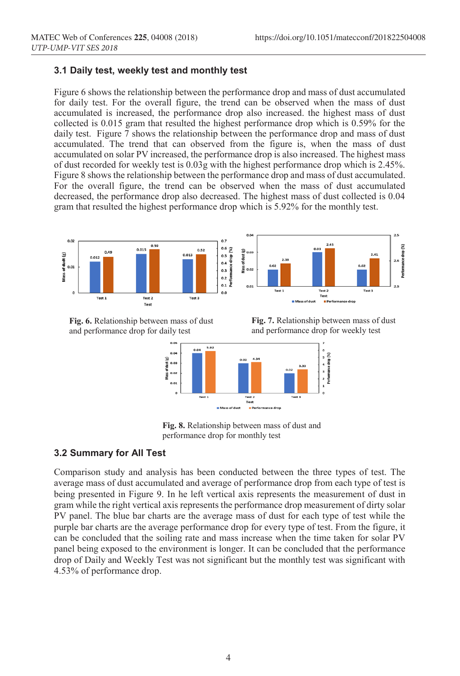### **3.1 Daily test, weekly test and monthly test**

Figure 6 shows the relationship between the performance drop and mass of dust accumulated for daily test. For the overall figure, the trend can be observed when the mass of dust accumulated is increased, the performance drop also increased. the highest mass of dust collected is 0.015 gram that resulted the highest performance drop which is 0.59% for the daily test. Figure 7 shows the relationship between the performance drop and mass of dust accumulated. The trend that can observed from the figure is, when the mass of dust accumulated on solar PV increased, the performance drop is also increased. The highest mass of dust recorded for weekly test is 0.03g with the highest performance drop which is 2.45%. Figure 8 shows the relationship between the performance drop and mass of dust accumulated. For the overall figure, the trend can be observed when the mass of dust accumulated decreased, the performance drop also decreased. The highest mass of dust collected is 0.04 gram that resulted the highest performance drop which is 5.92% for the monthly test.



**Fig. 6.** Relationship between mass of dust and performance drop for daily test

**Fig. 7.** Relationship between mass of dust and performance drop for weekly test



**Fig. 8.** Relationship between mass of dust and performance drop for monthly test

### **3.2 Summary for All Test**

Comparison study and analysis has been conducted between the three types of test. The average mass of dust accumulated and average of performance drop from each type of test is being presented in Figure 9. In he left vertical axis represents the measurement of dust in gram while the right vertical axis represents the performance drop measurement of dirty solar PV panel. The blue bar charts are the average mass of dust for each type of test while the purple bar charts are the average performance drop for every type of test. From the figure, it can be concluded that the soiling rate and mass increase when the time taken for solar PV panel being exposed to the environment is longer. It can be concluded that the performance drop of Daily and Weekly Test was not significant but the monthly test was significant with 4.53% of performance drop.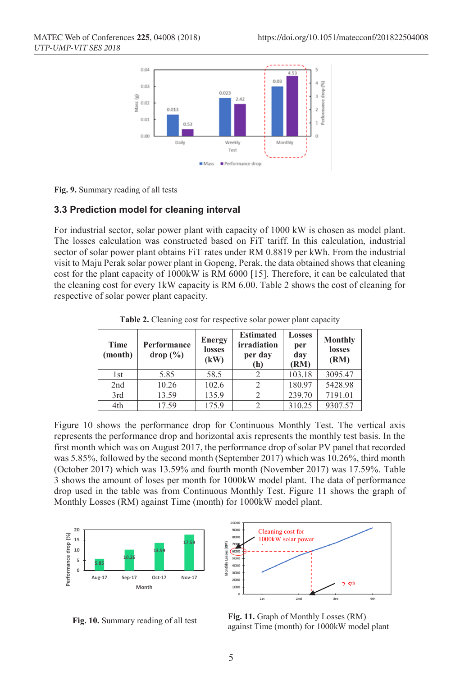

**Fig. 9.** Summary reading of all tests

#### **3.3 Prediction model for cleaning interval**

For industrial sector, solar power plant with capacity of 1000 kW is chosen as model plant. The losses calculation was constructed based on FiT tariff. In this calculation, industrial sector of solar power plant obtains FiT rates under RM 0.8819 per kWh. From the industrial visit to Maju Perak solar power plant in Gopeng, Perak, the data obtained shows that cleaning cost for the plant capacity of 1000kW is RM 6000 [15]. Therefore, it can be calculated that the cleaning cost for every 1kW capacity is RM 6.00. Table 2 shows the cost of cleaning for respective of solar power plant capacity.

| Time<br>(month) | Performance<br>drop (%) | <b>Energy</b><br>losses<br>(kW) | <b>Estimated</b><br>irradiation<br>per day<br>(h) | <b>Losses</b><br>per<br>day<br>(RM) | Monthly<br>losses<br>(RM) |
|-----------------|-------------------------|---------------------------------|---------------------------------------------------|-------------------------------------|---------------------------|
| 1st             | 5.85                    | 58.5                            |                                                   | 103.18                              | 3095.47                   |
| 2nd             | 10.26                   | 102.6                           |                                                   | 180.97                              | 5428.98                   |
| 3rd             | 13.59                   | 135.9                           |                                                   | 239.70                              | 7191.01                   |
| 4th             | 17.59                   | 175.9                           |                                                   | 310.25                              | 9307.57                   |

**Table 2.** Cleaning cost for respective solar power plant capacity

Figure 10 shows the performance drop for Continuous Monthly Test. The vertical axis represents the performance drop and horizontal axis represents the monthly test basis. In the first month which was on August 2017, the performance drop of solar PV panel that recorded was 5.85%, followed by the second month (September 2017) which was 10.26%, third month (October 2017) which was 13.59% and fourth month (November 2017) was 17.59%. Table 3 shows the amount of loses per month for 1000kW model plant. The data of performance drop used in the table was from Continuous Monthly Test. Figure 11 shows the graph of Monthly Losses (RM) against Time (month) for 1000kW model plant.





**Fig. 10.** Summary reading of all test **Fig. 11.** Graph of Monthly Losses (RM) against Time (month) for 1000kW model plant